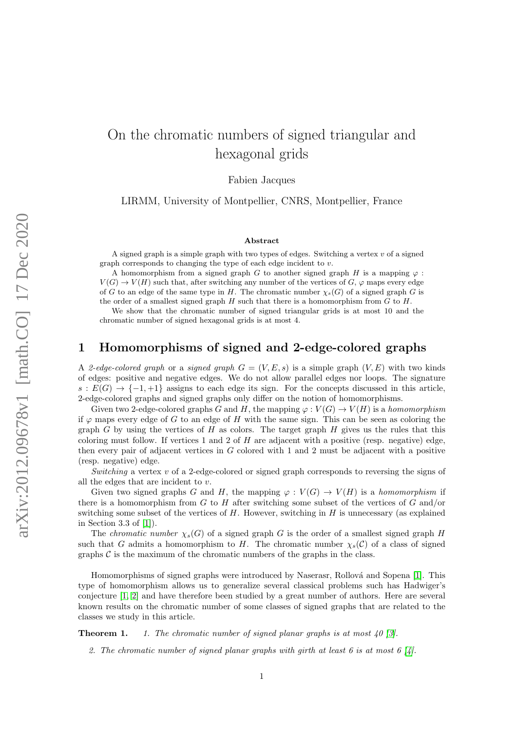# On the chromatic numbers of signed triangular and hexagonal grids

Fabien Jacques

LIRMM, University of Montpellier, CNRS, Montpellier, France

#### Abstract

A signed graph is a simple graph with two types of edges. Switching a vertex  $v$  of a signed graph corresponds to changing the type of each edge incident to  $v$ .

A homomorphism from a signed graph G to another signed graph H is a mapping  $\varphi$ :  $V(G) \to V(H)$  such that, after switching any number of the vertices of  $G$ ,  $\varphi$  maps every edge of G to an edge of the same type in H. The chromatic number  $\chi_s(G)$  of a signed graph G is the order of a smallest signed graph  $H$  such that there is a homomorphism from  $G$  to  $H$ .

We show that the chromatic number of signed triangular grids is at most 10 and the chromatic number of signed hexagonal grids is at most 4.

### 1 Homomorphisms of signed and 2-edge-colored graphs

A 2-edge-colored graph or a signed graph  $G = (V, E, s)$  is a simple graph  $(V, E)$  with two kinds of edges: positive and negative edges. We do not allow parallel edges nor loops. The signature  $s: E(G) \to \{-1, +1\}$  assigns to each edge its sign. For the concepts discussed in this article, 2-edge-colored graphs and signed graphs only differ on the notion of homomorphisms.

Given two 2-edge-colored graphs G and H, the mapping  $\varphi: V(G) \to V(H)$  is a homomorphism if  $\varphi$  maps every edge of G to an edge of H with the same sign. This can be seen as coloring the graph G by using the vertices of H as colors. The target graph H gives us the rules that this coloring must follow. If vertices 1 and 2 of  $H$  are adjacent with a positive (resp. negative) edge, then every pair of adjacent vertices in G colored with 1 and 2 must be adjacent with a positive (resp. negative) edge.

Switching a vertex  $v$  of a 2-edge-colored or signed graph corresponds to reversing the signs of all the edges that are incident to v.

Given two signed graphs G and H, the mapping  $\varphi: V(G) \to V(H)$  is a homomorphism if there is a homomorphism from G to H after switching some subset of the vertices of G and/or switching some subset of the vertices of  $H$ . However, switching in  $H$  is unnecessary (as explained in Section 3.3 of [\[1\]](#page-6-0)).

The *chromatic number*  $\chi_s(G)$  of a signed graph G is the order of a smallest signed graph H such that G admits a homomorphism to H. The chromatic number  $\chi_s(\mathcal{C})$  of a class of signed graphs  $\mathcal C$  is the maximum of the chromatic numbers of the graphs in the class.

Homomorphisms of signed graphs were introduced by Naserasr, Rollová and Sopena [\[1\]](#page-6-0). This type of homomorphism allows us to generalize several classical problems such has Hadwiger's conjecture [\[1,](#page-6-0) [2\]](#page-6-1) and have therefore been studied by a great number of authors. Here are several known results on the chromatic number of some classes of signed graphs that are related to the classes we study in this article.

<span id="page-0-1"></span><span id="page-0-0"></span>**Theorem 1.** 1. The chromatic number of signed planar graphs is at most  $\frac{1}{2}$ .

2. The chromatic number of signed planar graphs with girth at least 6 is at most 6 [\[4\]](#page-6-3).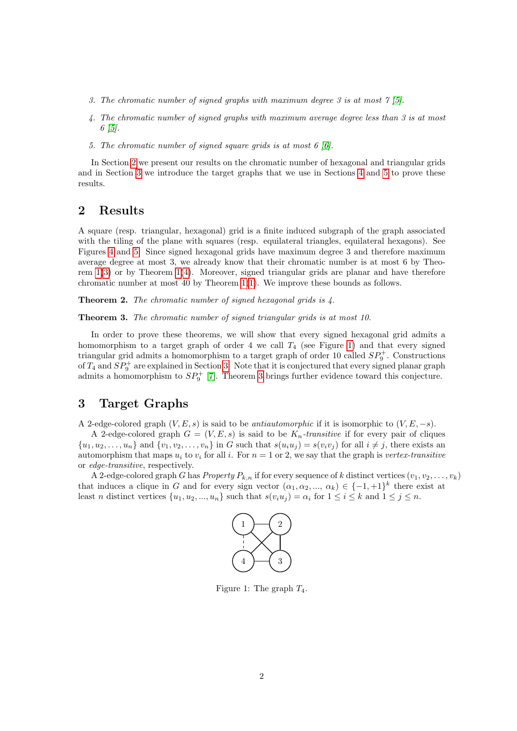- <span id="page-1-2"></span>3. The chromatic number of signed graphs with maximum degree 3 is at most  $\gamma$  [\[5\]](#page-6-4).
- <span id="page-1-3"></span>4. The chromatic number of signed graphs with maximum average degree less than 3 is at most  $6 \; |5|.$
- 5. The chromatic number of signed square grids is at most 6 [\[6\]](#page-7-0).

In Section [2](#page-1-0) we present our results on the chromatic number of hexagonal and triangular grids and in Section [3](#page-1-1) we introduce the target graphs that we use in Sections [4](#page-3-0) and [5](#page-4-0) to prove these results.

## <span id="page-1-0"></span>2 Results

A square (resp. triangular, hexagonal) grid is a finite induced subgraph of the graph associated with the tiling of the plane with squares (resp. equilateral triangles, equilateral hexagons). See Figures [4](#page-3-1) and [5.](#page-4-1) Since signed hexagonal grids have maximum degree 3 and therefore maximum average degree at most 3, we already know that their chromatic number is at most 6 by Theorem [1\(](#page-0-0)[3\)](#page-1-2) or by Theorem [1\(](#page-0-0)[4\)](#page-1-3). Moreover, signed triangular grids are planar and have therefore chromatic number at most 40 by Theorem [1](#page-0-0)[\(1\)](#page-0-1). We improve these bounds as follows.

<span id="page-1-6"></span>Theorem 2. The chromatic number of signed hexagonal grids is  $\lambda$ .

<span id="page-1-5"></span>Theorem 3. The chromatic number of signed triangular grids is at most 10.

In order to prove these theorems, we will show that every signed hexagonal grid admits a homomorphism to a target graph of order 4 we call  $T_4$  (see Figure [1\)](#page-1-4) and that every signed triangular grid admits a homomorphism to a target graph of order 10 called  $SP_9^+$ . Constructions of  $T_4$  and  $SP_9^+$  are explained in Section [3.](#page-1-1) Note that it is conjectured that every signed planar graph admits a homomorphism to  $SP_9^+$  [\[7\]](#page-7-1). Theorem [3](#page-1-5) brings further evidence toward this conjecture.

## <span id="page-1-1"></span>3 Target Graphs

A 2-edge-colored graph  $(V, E, s)$  is said to be *antiautomorphic* if it is isomorphic to  $(V, E, -s)$ .

A 2-edge-colored graph  $G = (V, E, s)$  is said to be  $K_n$ -transitive if for every pair of cliques  $\{u_1, u_2, \ldots, u_n\}$  and  $\{v_1, v_2, \ldots, v_n\}$  in G such that  $s(u_i u_j) = s(v_i v_j)$  for all  $i \neq j$ , there exists an automorphism that maps  $u_i$  to  $v_i$  for all i. For  $n = 1$  or 2, we say that the graph is vertex-transitive or edge-transitive, respectively.

A 2-edge-colored graph G has Property  $P_{k,n}$  if for every sequence of k distinct vertices  $(v_1, v_2, \ldots, v_k)$ that induces a clique in G and for every sign vector  $(\alpha_1, \alpha_2, ..., \alpha_k) \in \{-1, +1\}^k$  there exist at least n distinct vertices  $\{u_1, u_2, ..., u_n\}$  such that  $s(v_iu_j) = \alpha_i$  for  $1 \le i \le k$  and  $1 \le j \le n$ .



<span id="page-1-4"></span>Figure 1: The graph  $T_4$ .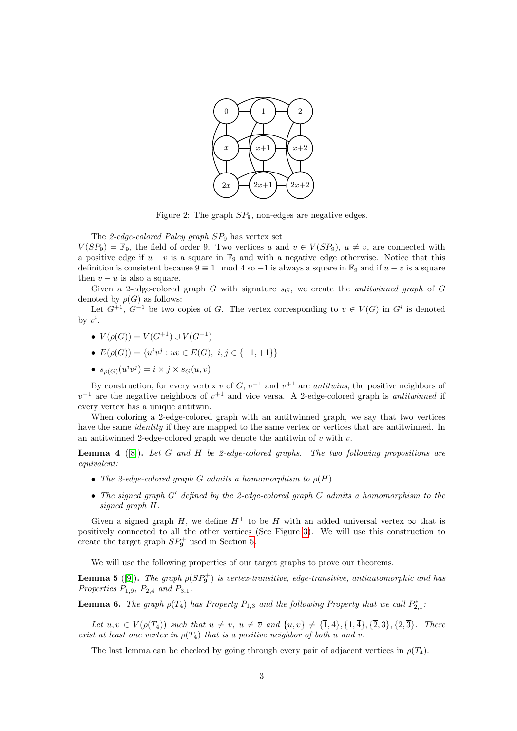

Figure 2: The graph  $SP_9$ , non-edges are negative edges.

The 2-edge-colored Paley graph  $SP_9$  has vertex set

 $V(SP_9) = \mathbb{F}_9$ , the field of order 9. Two vertices u and  $v \in V(SP_9)$ ,  $u \neq v$ , are connected with a positive edge if  $u - v$  is a square in  $\mathbb{F}_9$  and with a negative edge otherwise. Notice that this definition is consistent because  $9 \equiv 1 \mod 4$  so  $-1$  is always a square in  $\mathbb{F}_9$  and if  $u - v$  is a square then  $v - u$  is also a square.

Given a 2-edge-colored graph G with signature  $s_G$ , we create the *antituinned graph* of G denoted by  $\rho(G)$  as follows:

Let  $G^{+1}$ ,  $G^{-1}$  be two copies of G. The vertex corresponding to  $v \in V(G)$  in  $G^i$  is denoted by  $v^i$ .

- $V(\rho(G)) = V(G^{+1}) \cup V(G^{-1})$
- $E(\rho(G)) = \{u^iv^j : uv \in E(G), i, j \in \{-1, +1\}\}\$
- $s_{\rho(G)}(u^iv^j) = i \times j \times s_G(u,v)$

By construction, for every vertex v of  $G$ ,  $v^{-1}$  and  $v^{+1}$  are *antituins*, the positive neighbors of  $v^{-1}$  are the negative neighbors of  $v^{+1}$  and vice versa. A 2-edge-colored graph is *antituinned* if every vertex has a unique antitwin.

When coloring a 2-edge-colored graph with an antitwinned graph, we say that two vertices have the same *identity* if they are mapped to the same vertex or vertices that are antitwinned. In an antitwinned 2-edge-colored graph we denote the antitwin of v with  $\overline{v}$ .

<span id="page-2-0"></span>**Lemma 4** ([\[8\]](#page-7-2)). Let G and H be 2-edge-colored graphs. The two following propositions are equivalent:

- The 2-edge-colored graph G admits a homomorphism to  $\rho(H)$ .
- The signed graph  $G'$  defined by the 2-edge-colored graph  $G$  admits a homomorphism to the signed graph H.

Given a signed graph H, we define  $H^+$  to be H with an added universal vertex  $\infty$  that is positively connected to all the other vertices (See Figure [3\)](#page-3-2). We will use this construction to create the target graph  $SP_9^+$  used in Section [5.](#page-4-0)

We will use the following properties of our target graphs to prove our theorems.

**Lemma 5** ([\[9\]](#page-7-3)). The graph  $\rho (SP_9^+)$  is vertex-transitive, edge-transitive, antiautomorphic and has Properties  $P_{1,9}$ ,  $P_{2,4}$  and  $P_{3,1}$ .

**Lemma 6.** The graph  $\rho(T_4)$  has Property  $P_{1,3}$  and the following Property that we call  $P_{2,1}^*$ .

Let  $u, v \in V(\rho(T_4))$  such that  $u \neq v$ ,  $u \neq \overline{v}$  and  $\{u, v\} \neq {\overline{1}, 4\}, \{1, 4\}, \{\overline{2}, 3\}, \{2, \overline{3}\}.$  There exist at least one vertex in  $\rho(T_4)$  that is a positive neighbor of both u and v.

The last lemma can be checked by going through every pair of adjacent vertices in  $\rho(T_4)$ .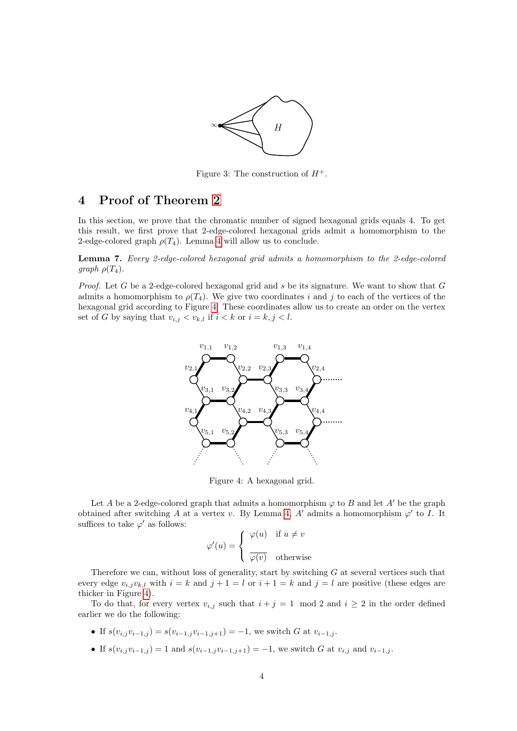

<span id="page-3-2"></span>Figure 3: The construction of  $H^+$ .

## <span id="page-3-0"></span>4 Proof of Theorem [2](#page-1-6)

In this section, we prove that the chromatic number of signed hexagonal grids equals 4. To get this result, we first prove that 2-edge-colored hexagonal grids admit a homomorphism to the 2-edge-colored graph  $\rho(T_4)$ . Lemma [4](#page-2-0) will allow us to conclude.

<span id="page-3-3"></span>Lemma 7. Every 2-edge-colored hexagonal grid admits a homomorphism to the 2-edge-colored graph  $\rho(T_4)$ .

*Proof.* Let G be a 2-edge-colored hexagonal grid and s be its signature. We want to show that  $G$ admits a homomorphism to  $\rho(T_4)$ . We give two coordinates i and j to each of the vertices of the hexagonal grid according to Figure [4.](#page-3-1) These coordinates allow us to create an order on the vertex set of G by saying that  $v_{i,j} < v_{k,l}$  if  $i < k$  or  $i = k, j < l$ .



<span id="page-3-1"></span>Figure 4: A hexagonal grid.

Let A be a 2-edge-colored graph that admits a homomorphism  $\varphi$  to B and let A' be the graph obtained after switching A at a vertex v. By Lemma [4,](#page-2-0) A' admits a homomorphism  $\varphi'$  to I. It suffices to take  $\varphi'$  as follows:

$$
\varphi'(u) = \begin{cases} \varphi(u) & \text{if } u \neq v \\ \overline{\varphi(v)} & \text{otherwise} \end{cases}
$$

Therefore we can, without loss of generality, start by switching  $G$  at several vertices such that every edge  $v_{i,j}v_{k,l}$  with  $i = k$  and  $j + 1 = l$  or  $i + 1 = k$  and  $j = l$  are positive (these edges are thicker in Figure [4\)](#page-3-1).

To do that, for every vertex  $v_{i,j}$  such that  $i + j = 1 \mod 2$  and  $i \geq 2$  in the order defined earlier we do the following:

- If  $s(v_{i,j}v_{i-1,j}) = s(v_{i-1,j}v_{i-1,j+1}) = -1$ , we switch G at  $v_{i-1,j}$ .
- If  $s(v_{i,j}v_{i-1,j}) = 1$  and  $s(v_{i-1,j}v_{i-1,j+1}) = -1$ , we switch G at  $v_{i,j}$  and  $v_{i-1,j}$ .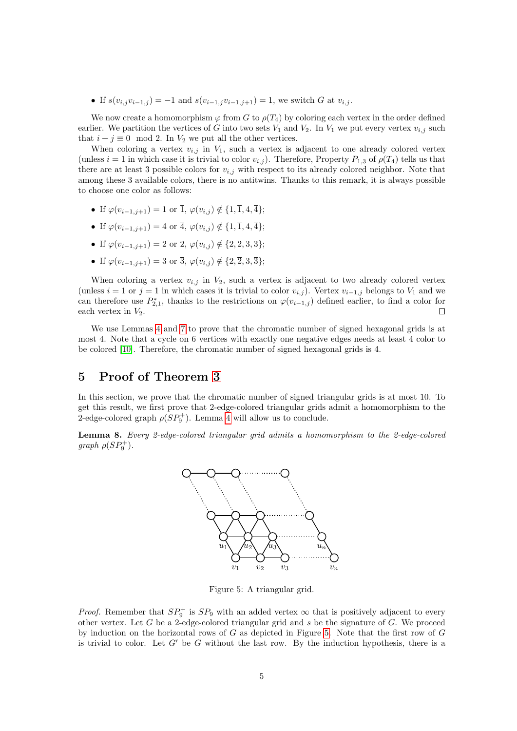• If  $s(v_{i,j}v_{i-1,j}) = -1$  and  $s(v_{i-1,j}v_{i-1,j+1}) = 1$ , we switch G at  $v_{i,j}$ .

We now create a homomorphism  $\varphi$  from G to  $\rho(T_4)$  by coloring each vertex in the order defined earlier. We partition the vertices of G into two sets  $V_1$  and  $V_2$ . In  $V_1$  we put every vertex  $v_{i,j}$  such that  $i + j \equiv 0 \mod 2$ . In  $V_2$  we put all the other vertices.

When coloring a vertex  $v_{i,j}$  in  $V_1$ , such a vertex is adjacent to one already colored vertex (unless  $i = 1$  in which case it is trivial to color  $v_{i,j}$ ). Therefore, Property  $P_{1,3}$  of  $\rho(T_4)$  tells us that there are at least 3 possible colors for  $v_{i,j}$  with respect to its already colored neighbor. Note that among these 3 available colors, there is no antitwins. Thanks to this remark, it is always possible to choose one color as follows:

- If  $\varphi(v_{i-1,j+1}) = 1$  or  $\overline{1}, \varphi(v_{i,j}) \notin \{1, \overline{1}, 4, \overline{4}\};$
- If  $\varphi(v_{i-1,j+1}) = 4$  or  $\overline{4}$ ,  $\varphi(v_{i,j}) \notin \{1, \overline{1}, 4, \overline{4}\};$
- If  $\varphi(v_{i-1,j+1}) = 2$  or  $\overline{2}$ ,  $\varphi(v_{i,j}) \notin \{2, \overline{2}, 3, \overline{3}\};$
- If  $\varphi(v_{i-1,j+1}) = 3$  or  $\overline{3}, \varphi(v_{i,j}) \notin \{2, \overline{2}, 3, \overline{3}\};$

When coloring a vertex  $v_{i,j}$  in  $V_2$ , such a vertex is adjacent to two already colored vertex (unless  $i = 1$  or  $j = 1$  in which cases it is trivial to color  $v_{i,j}$ ). Vertex  $v_{i-1,j}$  belongs to  $V_1$  and we can therefore use  $P_{2,1}^*$ , thanks to the restrictions on  $\varphi(v_{i-1,j})$  defined earlier, to find a color for each vertex in  $V_2$ .  $\Box$ 

We use Lemmas [4](#page-2-0) and [7](#page-3-3) to prove that the chromatic number of signed hexagonal grids is at most 4. Note that a cycle on 6 vertices with exactly one negative edges needs at least 4 color to be colored [\[10\]](#page-7-4). Therefore, the chromatic number of signed hexagonal grids is 4.

### <span id="page-4-0"></span>5 Proof of Theorem [3](#page-1-5)

In this section, we prove that the chromatic number of signed triangular grids is at most 10. To get this result, we first prove that 2-edge-colored triangular grids admit a homomorphism to the 2-edge-colored graph  $\rho (SP_9^+)$ . Lemma [4](#page-2-0) will allow us to conclude.

<span id="page-4-2"></span>Lemma 8. Every 2-edge-colored triangular grid admits a homomorphism to the 2-edge-colored graph  $\rho (SP_9^+)$ .



<span id="page-4-1"></span>Figure 5: A triangular grid.

*Proof.* Remember that  $SP_9^+$  is  $SP_9$  with an added vertex  $\infty$  that is positively adjacent to every other vertex. Let  $G$  be a 2-edge-colored triangular grid and  $s$  be the signature of  $G$ . We proceed by induction on the horizontal rows of  $G$  as depicted in Figure [5.](#page-4-1) Note that the first row of  $G$ is trivial to color. Let  $G'$  be G without the last row. By the induction hypothesis, there is a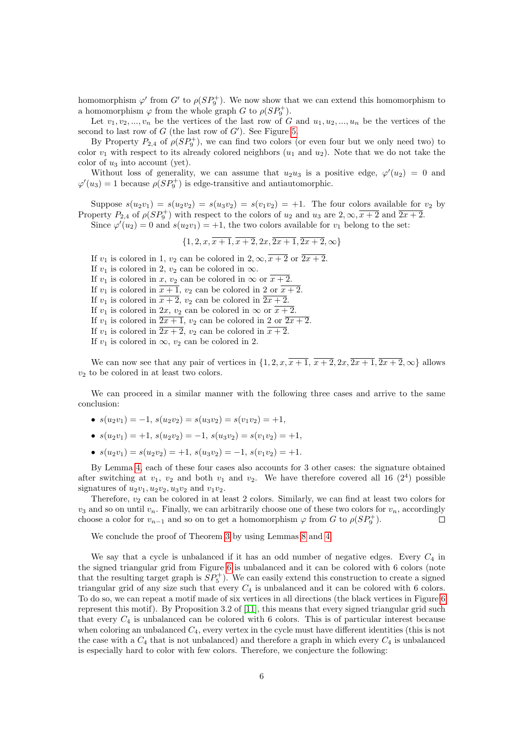homomorphism  $\varphi'$  from  $G'$  to  $\rho(SP_9^+)$ . We now show that we can extend this homomorphism to a homomorphism  $\varphi$  from the whole graph G to  $\rho(SP_9^+)$ .

Let  $v_1, v_2, ..., v_n$  be the vertices of the last row of G and  $u_1, u_2, ..., u_n$  be the vertices of the second to last row of  $G$  (the last row of  $G'$ ). See Figure [5.](#page-4-1)

By Property  $P_{2,4}$  of  $\rho(SP_9^+)$ , we can find two colors (or even four but we only need two) to color  $v_1$  with respect to its already colored neighbors  $(u_1$  and  $u_2)$ . Note that we do not take the color of  $u_3$  into account (yet).

Without loss of generality, we can assume that  $u_2u_3$  is a positive edge,  $\varphi'(u_2) = 0$  and  $\varphi'(u_3) = 1$  because  $\rho(SP_9^+)$  is edge-transitive and antiautomorphic.

Suppose  $s(u_2v_1) = s(u_2v_2) = s(u_3v_2) = s(v_1v_2) = +1$ . The four colors available for  $v_2$  by Property  $P_{2,4}$  of  $\rho(SP_9^+)$  with respect to the colors of  $u_2$  and  $u_3$  are  $2,\infty,\overline{x+2}$  and  $\overline{2x+2}$ . Since  $\varphi'(u_2) = 0$  and  $s(u_2v_1) = +1$ , the two colors available for  $v_1$  belong to the set:

 $\{1, 2, x, \overline{x+1}, \overline{x+2}, 2x, \overline{2x+1}, \overline{2x+2}, \infty\}$ 

If  $v_1$  is colored in 1,  $v_2$  can be colored in  $2, \infty, \overline{x+2}$  or  $\overline{2x+2}$ . If  $v_1$  is colored in 2,  $v_2$  can be colored in  $\infty$ . If  $v_1$  is colored in  $x, v_2$  can be colored in  $\infty$  or  $\overline{x+2}$ . If  $v_1$  is colored in  $\overline{x+1}$ ,  $v_2$  can be colored in 2 or  $\overline{x+2}$ . If  $v_1$  is colored in  $\overline{x+2}$ ,  $v_2$  can be colored in  $\overline{2x+2}$ . If  $v_1$  is colored in  $2x$ ,  $v_2$  can be colored in  $\infty$  or  $\overline{x+2}$ . If  $v_1$  is colored in  $\overline{2x+1}$ ,  $v_2$  can be colored in 2 or  $\overline{2x+2}$ . If  $v_1$  is colored in  $\overline{2x+2}$ ,  $v_2$  can be colored in  $\overline{x+2}$ . If  $v_1$  is colored in  $\infty$ ,  $v_2$  can be colored in 2.

We can now see that any pair of vertices in  $\{1, 2, x, \overline{x+1}, \overline{x+2}, 2x, \overline{2x+1}, \overline{2x+2}, \infty\}$  allows  $v_2$  to be colored in at least two colors.

We can proceed in a similar manner with the following three cases and arrive to the same conclusion:

- $s(u_2v_1) = -1$ ,  $s(u_2v_2) = s(u_3v_2) = s(v_1v_2) = +1$ ,
- $s(u_2v_1) = +1, s(u_2v_2) = -1, s(u_3v_2) = s(v_1v_2) = +1,$
- $s(u_2v_1) = s(u_2v_2) = +1, s(u_3v_2) = -1, s(v_1v_2) = +1.$

By Lemma [4,](#page-2-0) each of these four cases also accounts for 3 other cases: the signature obtained after switching at  $v_1$ ,  $v_2$  and both  $v_1$  and  $v_2$ . We have therefore covered all 16 (2<sup>4</sup>) possible signatures of  $u_2v_1, u_2v_2, u_3v_2$  and  $v_1v_2$ .

Therefore,  $v_2$  can be colored in at least 2 colors. Similarly, we can find at least two colors for  $v_3$  and so on until  $v_n$ . Finally, we can arbitrarily choose one of these two colors for  $v_n$ , accordingly choose a color for  $v_{n-1}$  and so on to get a homomorphism  $\varphi$  from G to  $\rho(SP_9^+)$ .  $\Box$ 

We conclude the proof of Theorem [3](#page-1-5) by using Lemmas [8](#page-4-2) and [4.](#page-2-0)

We say that a cycle is unbalanced if it has an odd number of negative edges. Every  $C_4$  in the signed triangular grid from Figure [6](#page-6-5) is unbalanced and it can be colored with 6 colors (note that the resulting target graph is  $SP_5^+$ ). We can easily extend this construction to create a signed triangular grid of any size such that every  $C_4$  is unbalanced and it can be colored with 6 colors. To do so, we can repeat a motif made of six vertices in all directions (the black vertices in Figure [6](#page-6-5) represent this motif). By Proposition 3.2 of [\[11\]](#page-7-5), this means that every signed triangular grid such that every  $C_4$  is unbalanced can be colored with 6 colors. This is of particular interest because when coloring an unbalanced  $C_4$ , every vertex in the cycle must have different identities (this is not the case with a  $C_4$  that is not unbalanced) and therefore a graph in which every  $C_4$  is unbalanced is especially hard to color with few colors. Therefore, we conjecture the following: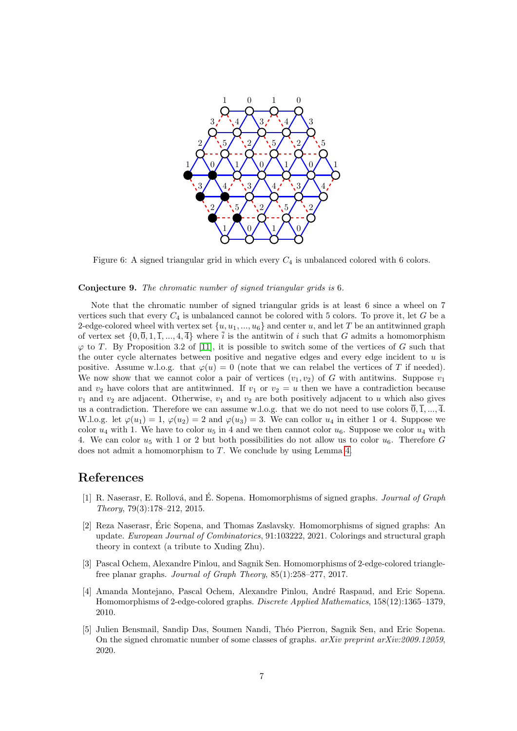

<span id="page-6-5"></span>Figure 6: A signed triangular grid in which every  $C_4$  is unbalanced colored with 6 colors.

#### Conjecture 9. The chromatic number of signed triangular grids is 6.

Note that the chromatic number of signed triangular grids is at least 6 since a wheel on 7 vertices such that every  $C_4$  is unbalanced cannot be colored with 5 colors. To prove it, let G be a 2-edge-colored wheel with vertex set  $\{u, u_1, ..., u_6\}$  and center u, and let T be an antitwinned graph of vertex set  $\{0, \overline{0}, 1, \overline{1}, ..., 4, \overline{4}\}$  where  $\overline{i}$  is the antitwin of i such that G admits a homomorphism  $\varphi$  to T. By Proposition 3.2 of [\[11\]](#page-7-5), it is possible to switch some of the vertices of G such that the outer cycle alternates between positive and negative edges and every edge incident to  $u$  is positive. Assume w.l.o.g. that  $\varphi(u) = 0$  (note that we can relabel the vertices of T if needed). We now show that we cannot color a pair of vertices  $(v_1, v_2)$  of G with antitwins. Suppose  $v_1$ and  $v_2$  have colors that are antitwinned. If  $v_1$  or  $v_2 = u$  then we have a contradiction because  $v_1$  and  $v_2$  are adjacent. Otherwise,  $v_1$  and  $v_2$  are both positively adjacent to u which also gives us a contradiction. Therefore we can assume w.l.o.g. that we do not need to use colors  $\overline{0}, \overline{1}, ..., \overline{4}$ . W.l.o.g. let  $\varphi(u_1) = 1$ ,  $\varphi(u_2) = 2$  and  $\varphi(u_3) = 3$ . We can collor  $u_4$  in either 1 or 4. Suppose we color  $u_4$  with 1. We have to color  $u_5$  in 4 and we then cannot color  $u_6$ . Suppose we color  $u_4$  with 4. We can color  $u_5$  with 1 or 2 but both possibilities do not allow us to color  $u_6$ . Therefore G does not admit a homomorphism to T. We conclude by using Lemma [4.](#page-2-0)

#### References

- <span id="page-6-0"></span>[1] R. Naserasr, E. Rollová, and É. Sopena. Homomorphisms of signed graphs. *Journal of Graph* Theory, 79(3):178–212, 2015.
- <span id="page-6-1"></span>[2] Reza Naserasr, Eric Sopena, and Thomas Zaslavsky. Homomorphisms of signed graphs: An ´ update. European Journal of Combinatorics, 91:103222, 2021. Colorings and structural graph theory in context (a tribute to Xuding Zhu).
- <span id="page-6-2"></span>[3] Pascal Ochem, Alexandre Pinlou, and Sagnik Sen. Homomorphisms of 2-edge-colored trianglefree planar graphs. Journal of Graph Theory, 85(1):258–277, 2017.
- <span id="page-6-3"></span>[4] Amanda Montejano, Pascal Ochem, Alexandre Pinlou, André Raspaud, and Eric Sopena. Homomorphisms of 2-edge-colored graphs. Discrete Applied Mathematics, 158(12):1365–1379, 2010.
- <span id="page-6-4"></span>[5] Julien Bensmail, Sandip Das, Soumen Nandi, Th´eo Pierron, Sagnik Sen, and Eric Sopena. On the signed chromatic number of some classes of graphs.  $arXiv$  preprint  $arXiv:2009.12059$ , 2020.